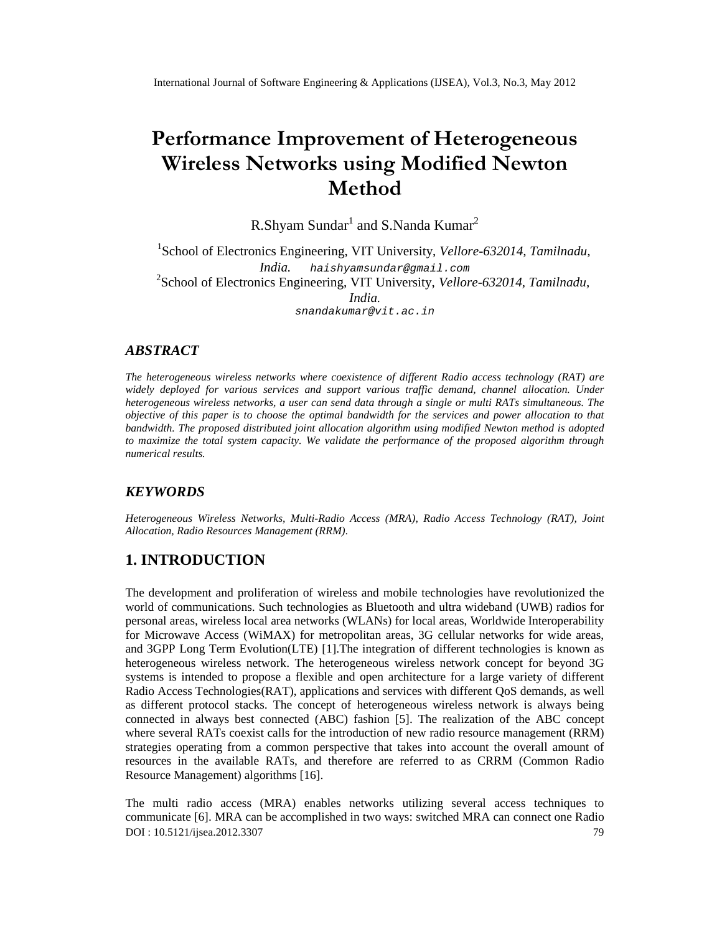# Performance Improvement of Heter Wireless Networks using Modified Method

R.Shyam SundåandS.Nanda Kumar

<sup>1</sup>Schoolof Electronics Engineering, VIT University, ellore 632014, Tamilnadu, India. [haishyamsundar@gmail.com](mailto:haishyamsundar@gmail.com) <sup>2</sup>School of Electronics Engineering, VIT Universit wellore 632014, Tamilnadu, India. [snandakumar@vit.ac.in](mailto:snandakumar@vit.ac)

## ABSTRACT

The heterogeneous wireless networks where coexistence of different Radio access technology (RAT) are widely deployed for various services and support various traffic demand, channel allocation. Under heterogeneous wireless networks, a user can send data through a or multi RATs simultaneous. Th objective of this paper is tohoose the optimal bandwidth for the services and power allocation to that bandwidth. The proposed disibuted joint allocation algorithm using modified Newton methis adopted to maximize the total system capacity. We validate the performance of the proposed algorithm through numerical results.

## **KEYWORDS**

HeterogeneousWireless Networks, MultRadio Access(MRA), Radio Access Technolog(RAT), Joint Allocation, Radio Resourcesanagement (RRM).

# 1. INTRODUCTION

The development and proliferation of wireless and mobile technologies have revolutionized the world of communications. Such technologies as Bluetooth and ultra wideband (UWB) radios for personal areas, wireless local aneaworks (WLANs) for local areas, Worldwide Interoperability for Microwave Access (WiMAX) for metropolitan areas, 3G cellular networks for wide areas, and 3GPP Long Term Evolution(LTE)]. The integration of different technologies is known as heterogeneouswireless network. The heterogeneous wireless network concept for beyond 3G systems is intended to propose a flexible and open architecture for a large variety of different Radio Access Technologies(RAT), applications and services with different QoS demandell as different protocol stacks. The concept of heterogeneous wireless network is always being connected in always best connected (ABC) fashibin The realization of the ABC concept where several RATs coexist calls for the introduction of new orax source management (RRM) strategies operating from a common perspective that takes into account the overall amount of resources in the available RATs, and therefore are referred to as CRRM (Common Radio Resource Management) algorithm<sup>6</sup>].

DOI : 10.5121/ijsea.2012.3307 79 The multi radio access (MRA) enables networks utilizing several access techniques to communicato 6]. MRA can be accomplished in two way switched MRA can connect one Radio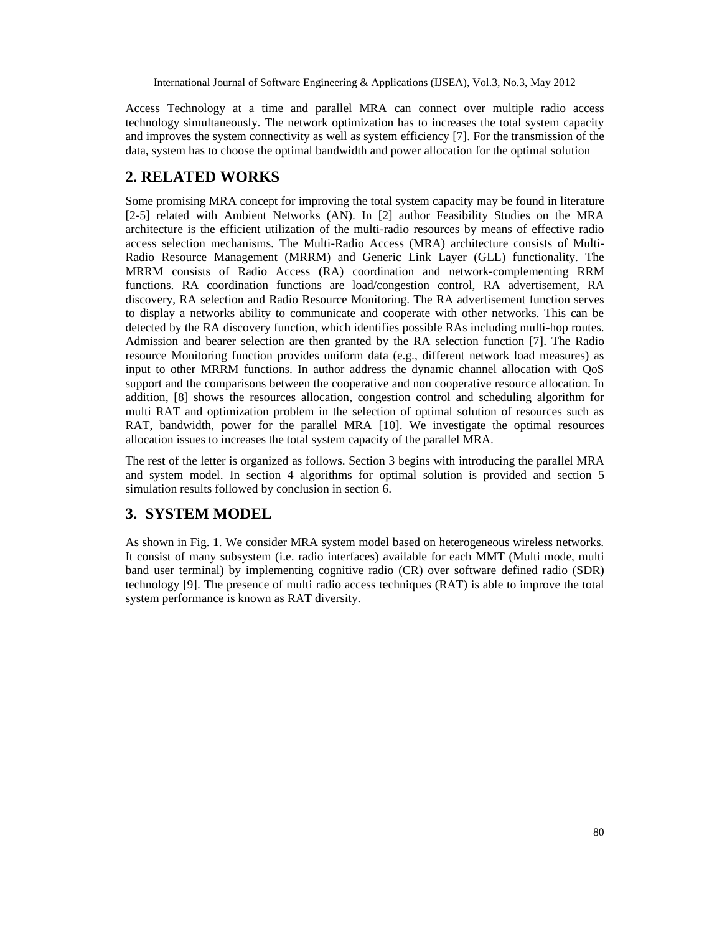Access Technology at a time and parallel MRA can connect over multiple radio access technology simultaneously. The network optimization has to increases the total system capacity and improves the system connectivity as well as system efficiency [7]. For the transmission of the data, system has to choose the optimal bandwidth and power allocation for the optimal solution

# **2. RELATED WORKS**

Some promising MRA concept for improving the total system capacity may be found in literature [2-5] related with Ambient Networks (AN). In [2] author Feasibility Studies on the MRA architecture is the efficient utilization of the multi-radio resources by means of effective radio access selection mechanisms. The Multi-Radio Access (MRA) architecture consists of Multi-Radio Resource Management (MRRM) and Generic Link Layer (GLL) functionality. The MRRM consists of Radio Access (RA) coordination and network-complementing RRM functions. RA coordination functions are load/congestion control, RA advertisement, RA discovery, RA selection and Radio Resource Monitoring. The RA advertisement function serves to display a networks ability to communicate and cooperate with other networks. This can be detected by the RA discovery function, which identifies possible RAs including multi-hop routes. Admission and bearer selection are then granted by the RA selection function [7]. The Radio resource Monitoring function provides uniform data (e.g., different network load measures) as input to other MRRM functions. In author address the dynamic channel allocation with QoS support and the comparisons between the cooperative and non cooperative resource allocation. In addition, [8] shows the resources allocation, congestion control and scheduling algorithm for multi RAT and optimization problem in the selection of optimal solution of resources such as RAT, bandwidth, power for the parallel MRA [10]. We investigate the optimal resources allocation issues to increases the total system capacity of the parallel MRA.

The rest of the letter is organized as follows. Section 3 begins with introducing the parallel MRA and system model. In section 4 algorithms for optimal solution is provided and section 5 simulation results followed by conclusion in section 6.

# **3. SYSTEM MODEL**

As shown in Fig. 1. We consider MRA system model based on heterogeneous wireless networks. It consist of many subsystem (i.e. radio interfaces) available for each MMT (Multi mode, multi band user terminal) by implementing cognitive radio (CR) over software defined radio (SDR) technology [9]. The presence of multi radio access techniques (RAT) is able to improve the total system performance is known as RAT diversity.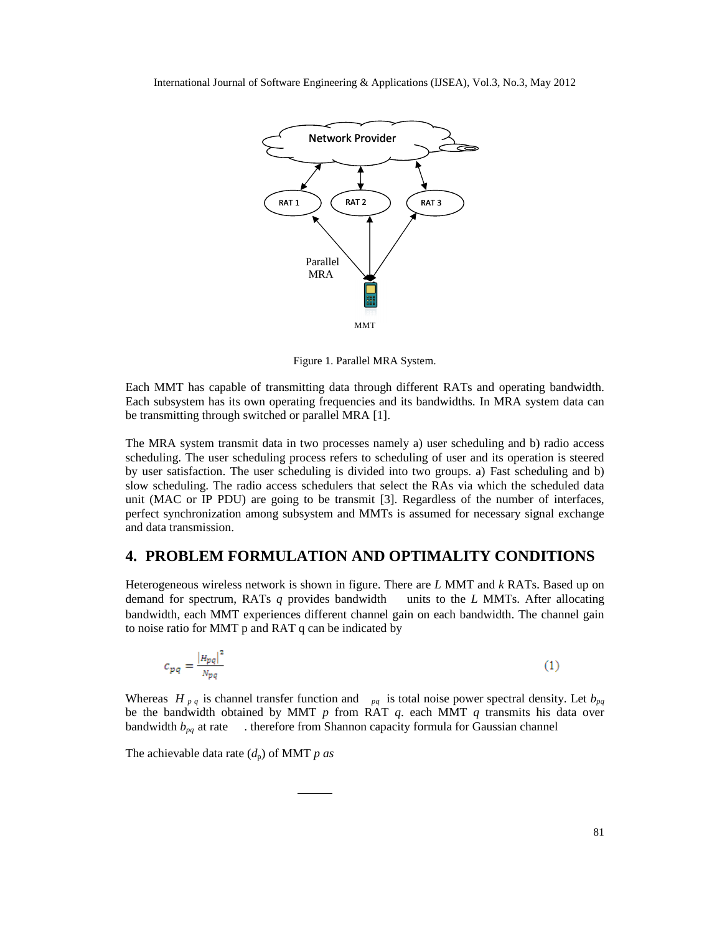

Figure 1. Parallel MRA System.

Each MMT has capable of transmitting data through different RATs and operating bandwidth. Each subsystem has its own operating frequencies and its bandwidths. In MRA system data can<br>be transmitting through switched or parallel MRA [1]. be transmitting through switched or parallel MRA [1].

The MRA system transmit data in two processes namely a) user scheduling and b) radio access scheduling. The user scheduling process refers to scheduling of user and its operation is steered scheduling. The user scheduling process refers to scheduling of user and its operation is steered by user satisfaction. The user scheduling is divided into two groups. a) Fast scheduling and b) slow scheduling. The radio access schedulers that select the RAs via which the scheduled data by user satisfaction. The user scheduling is divided into two groups. a) Fast scheduling and b) slow scheduling. The radio access schedulers that select the RAs via which the scheduled data unit (MAC or IP PDU) are going t perfect synchronization among subsystem and MMTs is assumed for necessary signal exchange and data transmission. Each MMT has capable of transmitting data through different RATs and operating b<br>Each subsystem has its own operating frequencies and its bandwidths. In MRA system<br>be transmitting through switched or parallel MRA [1].<br>The Each MMT has capable of transm<br>Each subsystem has its own opera<br>Bach subsystem has its own opera<br>The MRA system transmit data in<br>scheduling. The user scheduling by user satisfaction. The user scheduling<br>by user satisfacti

## **4. PROBLEM FORMULATION AND OPTIMALITY CONDITIONS 4.**

Heterogeneous wireless network is shown in figure. There are *L* MMT and *k* RATs. Based up on demand for spectrum, RATs *q* provides bandwidth units to the *L* MMTs. After allocating Heterogeneous wireless network is shown in figure. There are *L* MMT and *k* RATs. Based up on demand for spectrum, RATs *q* provides bandwidth units to the *L* MMTs. After allocating bandwidth, each MMT experiences differ to noise ratio for MMT p and RAT q can be indicated by Heterogeneous wireless network is shown in figure. There are *L* MMT and *k* RATs. Based<br>demand for spectrum, RATs *q* provides bandwidth units to the *L* MMTs. After all<br>bandwidth, each MMT experiences different channel

$$
c_{pq} = \frac{|H_{pq}|^2}{N_{pq}}
$$
 (1)

Whereas  $H_{pq}$  is channel transfer function and  $_{pq}$  is total noise power spectral density. Let  $b_{pq}$ be the bandwidth obtained by MMT *p* from RAT *q*. each MMT *q* transmits his data over bandwidth  $b_{pq}$  at rate  $\blacksquare$ . therefore from Shannon capacity formula for Gaussian channel is total noise power spectral density.<br>by MMT  $p$  from RAT  $q$ . each MMT  $q$  transmits his date<br>fore from Shannon capacity formula for Gaussian channel

The achievable data rate  $(d_p)$  of MMT *p as*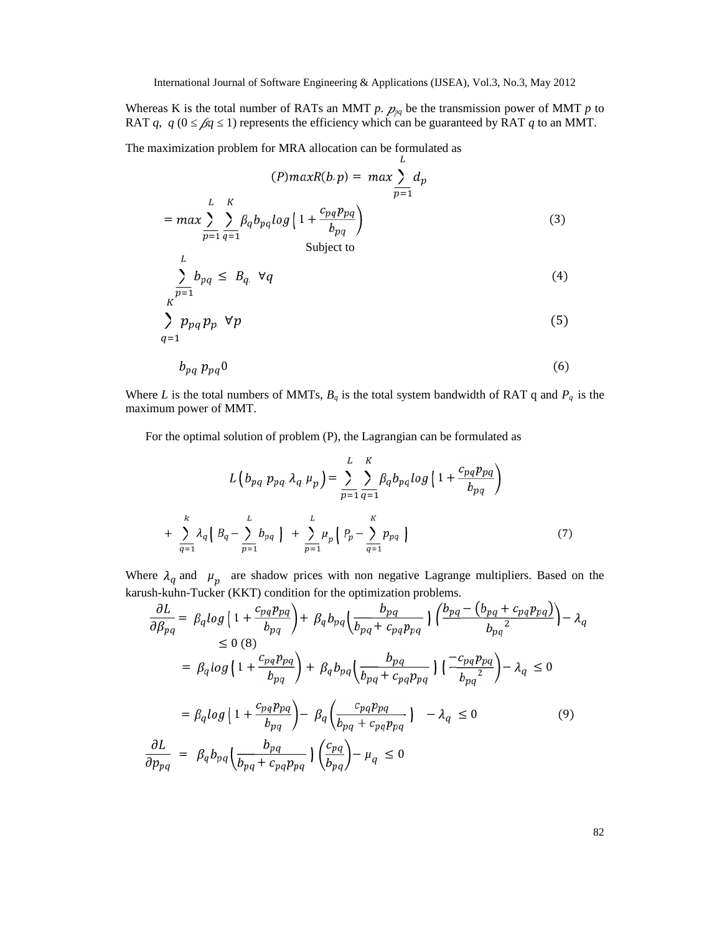Whereas K is the total number of RATs an MMT  $p$ .  $p_{pq}$  be the transmission power of MMT  $p$  to RAT  $q$ ,  $q$  (0  $\beta q$  1) represents the efficiency which can be guaranteed by RAT  $q$  to an MMT.

The maximization problem for MRA allocation can be formulated as

$$
(P) maxR(b, p) = max \sum_{p=1}^{L} d_p
$$
  
= max  $\sum_{p=1}^{L} \sum_{q=1}^{K} \beta_q b_{pq} log \left( 1 + \frac{c_{pq} p_{pq}}{b_{pq}} \right)$  (3)  
Subject to

$$
\sum_{p=1}^{d} b_{pq} \leq B_q \quad \forall q \tag{4}
$$

$$
\sum_{q=1}^{K} p_{pq} p_{p} \ \forall p \tag{5}
$$

$$
b_{pq} \, p_{pq} \, 0 \tag{6}
$$

Where *L* is the total numbers of MMTs,  $B_q$  is the total system bandwidth of RAT q and  $P_q$  is the maximum power of MMT.

For the optimal solution of problem (P), the Lagrangian can be formulated as

$$
L\left(b_{pq} p_{pq} \lambda_q \mu_p\right) = \sum_{p=1}^{L} \sum_{q=1}^{K} \beta_q b_{pq} \log\left(1 + \frac{c_{pq} p_{pq}}{b_{pq}}\right) + \sum_{q=1}^{K} \lambda_q \left(B_q - \sum_{p=1}^{L} b_{pq}\right) + \sum_{p=1}^{L} \mu_p \left(P_p - \sum_{q=1}^{K} p_{pq}\right)
$$
\n(7)

Where  $\lambda_q$  and  $\mu_p$  are shadow prices with non negative Lagrange multipliers. Based on the karush-kuhn-Tucker (KKT) condition for the optimization problems.

$$
\frac{\partial L}{\partial \beta_{pq}} = \beta_q \log \left( 1 + \frac{c_{pq} p_{pq}}{b_{pq}} \right) + \beta_q b_{pq} \left( \frac{b_{pq}}{b_{pq} + c_{pq} p_{pq}} \right) \left( \frac{b_{pq} - (b_{pq} + c_{pq} p_{pq})}{b_{pq}^2} \right) - \lambda_q
$$
\n
$$
\leq 0 \text{ (8)}
$$
\n
$$
= \beta_q \log \left( 1 + \frac{c_{pq} p_{pq}}{b_{pq}} \right) + \beta_q b_{pq} \left( \frac{b_{pq}}{b_{pq} + c_{pq} p_{pq}} \right) \left( \frac{-c_{pq} p_{pq}}{b_{pq}^2} \right) - \lambda_q \leq 0
$$
\n
$$
= \beta_q \log \left( 1 + \frac{c_{pq} p_{pq}}{b_{pq}} \right) - \beta_q \left( \frac{c_{pq} p_{pq}}{b_{pq} + c_{pq} p_{pq}} \right) - \lambda_q \leq 0 \tag{9}
$$
\n
$$
\frac{\partial L}{\partial p_{pq}} = \beta_q b_{pq} \left( \frac{b_{pq}}{b_{pq} + c_{pq} p_{pq}} \right) \left( \frac{c_{pq}}{b_{pq}} \right) - \mu_q \leq 0
$$

82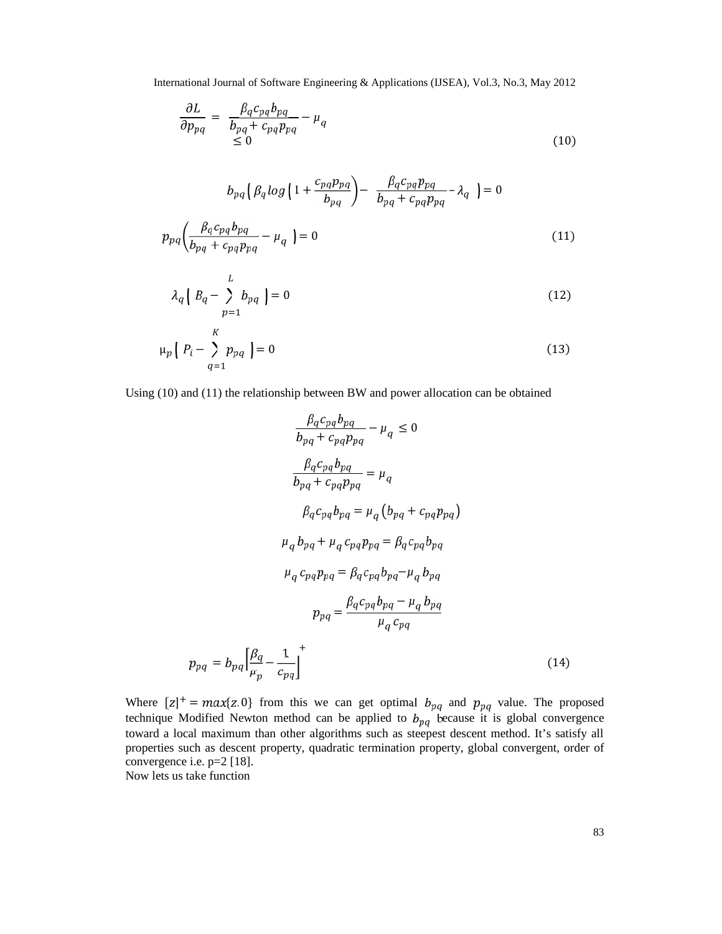$$
\frac{\partial L}{\partial p_{pq}} = \frac{\beta_q c_{pq} b_{pq}}{b_{pq} + c_{pq} p_{pq}} - \mu_q
$$
\n
$$
\leq 0
$$
\n(10)

$$
b_{pq} \left( \beta_q \log \left( 1 + \frac{c_{pq} p_{pq}}{b_{pq}} \right) - \frac{\beta_q c_{pq} p_{pq}}{b_{pq} + c_{pq} p_{pq}} - \lambda_q \right) = 0
$$
  
\n
$$
p_{pq} \left( \frac{\beta_q c_{pq} b_{pq}}{b_{pq} + c_{pq} p_{pq}} - \mu_q \right) = 0
$$
\n(11)

$$
\lambda_q \left( B_q - \sum_{p=1}^L b_{pq} \right) = 0 \tag{12}
$$

$$
\mu_p \left[ P_i - \sum_{q=1}^K p_{pq} \right] = 0 \tag{13}
$$

Using (10) and (11) the relationship between BW and power allocation can be obtained

$$
\frac{\beta_q c_{pq} b_{pq}}{b_{pq} + c_{pq} p_{pq}} - \mu_q \le 0
$$
\n
$$
\frac{\beta_q c_{pq} b_{pq}}{b_{pq} + c_{pq} p_{pq}} = \mu_q
$$
\n
$$
\beta_q c_{pq} b_{pq} = \mu_q (b_{pq} + c_{pq} p_{pq})
$$
\n
$$
\mu_q b_{pq} + \mu_q c_{pq} p_{pq} = \beta_q c_{pq} b_{pq}
$$
\n
$$
\mu_q c_{pq} p_{pq} = \beta_q c_{pq} b_{pq} - \mu_q b_{pq}
$$
\n
$$
p_{pq} = \frac{\beta_q c_{pq} b_{pq} - \mu_q b_{pq}}{\mu_q c_{pq}}
$$
\n
$$
p_{pq} = b_{pq} \left[ \frac{\beta_q}{\mu_p} - \frac{1}{c_{pq}} \right]^{+}
$$
\n(14)

Where  $[z]^+$  =  $max\{z, 0\}$  from this we can get optimal  $b_{pq}$  and  $p_{pq}$  value. The proposed technique Modified Newton method can be applied to  $b_{pq}$  because it is global convergence toward a local maximum than other algorithms such as steepest descent method. It's satisfy all properties such as descent property, quadratic termination property, global convergent, order of convergence i.e. p=2 [18].

Now lets us take function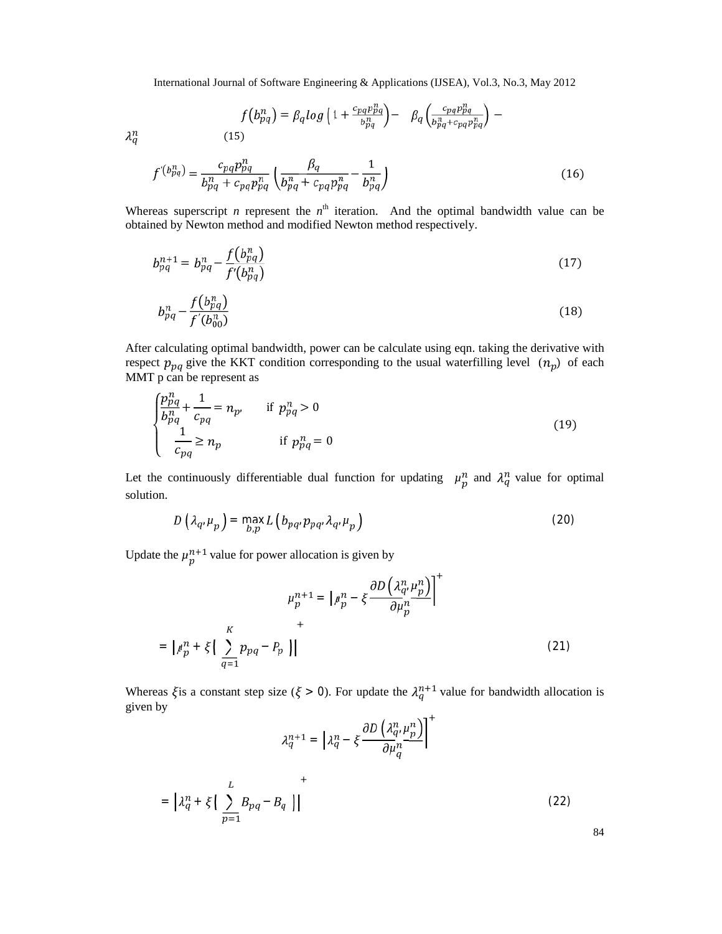$$
f(b_{pq}^n) = \beta_q \log \left( 1 + \frac{c_{pq} p_{pq}^n}{b_{pq}^n} \right) - \beta_q \left( \frac{c_{pq} p_{pq}^n}{b_{pq}^n + c_{pq} p_{pq}^n} \right) -
$$
\n(15)

 $\lambda_q^n$ 

$$
f^{(p_{pq}^n)} = \frac{c_{pq} p_{pq}^n}{b_{pq}^n + c_{pq} p_{pq}^n} \left( \frac{\beta_q}{b_{pq}^n + c_{pq} p_{pq}^n} - \frac{1}{b_{pq}^n} \right)
$$
(16)

Whereas superscript *n* represent the  $n<sup>th</sup>$  iteration. And the optimal bandwidth value can be obtained by Newton method and modified Newton method respectively.

$$
b_{pq}^{n+1} = b_{pq}^n - \frac{f(b_{pq}^n)}{f'(b_{pq}^n)}
$$
(17)

$$
b_{pq}^n - \frac{f(b_{pq}^n)}{f'(b_{00}^n)}\tag{18}
$$

After calculating optimal bandwidth, power can be calculate using eqn. taking the derivative with respect  $p_{pq}$  give the KKT condition corresponding to the usual waterfilling level  $(n_p)$  of each MMT p can be represent as

$$
\begin{cases}\n\frac{p_p^n}{b_{pq}^n} + \frac{1}{c_{pq}} = n_p, & \text{if } p_{pq}^n > 0 \\
\frac{1}{c_{pq}} \ge n_p & \text{if } p_{pq}^n = 0\n\end{cases}
$$
\n(19)

Let the continuously differentiable dual function for updating  $\mu_p^n$  and  $\lambda_q^n$  value for optimal solution.

$$
D\left(\lambda_{q},\mu_{p}\right)=\max_{b,p}L\left(b_{pq},p_{pq},\lambda_{q},\mu_{p}\right)
$$
\n(20)

Update the  $\mu_p^{n+1}$  value for power allocation is given by

$$
\mu_p^{n+1} = \left[ \mu_p^n - \xi \frac{\partial D\left(\lambda_q^n \mu_p^n\right)}{\partial \mu_p^n} \right]^+
$$

$$
= \left[ \mu_p^n + \xi \left( \sum_{q=1}^K p_{pq} - P_p \right) \right]
$$
(21)

Whereas  $\xi$  is a constant step size ( $\xi > 0$ ). For update the  $\lambda_q^{n+1}$  value for bandwidth allocation is given by  $\sqrt{1}$ 

$$
\lambda_q^{n+1} = \left| \lambda_q^n - \xi \frac{\partial D\left(\lambda_q^n, \mu_p^n\right)}{\partial \mu_q^n} \right|
$$
  
= 
$$
\left| \lambda_q^n + \xi \left( \sum_{p=1}^L B_{pq} - B_q \right) \right|
$$
 (22)

84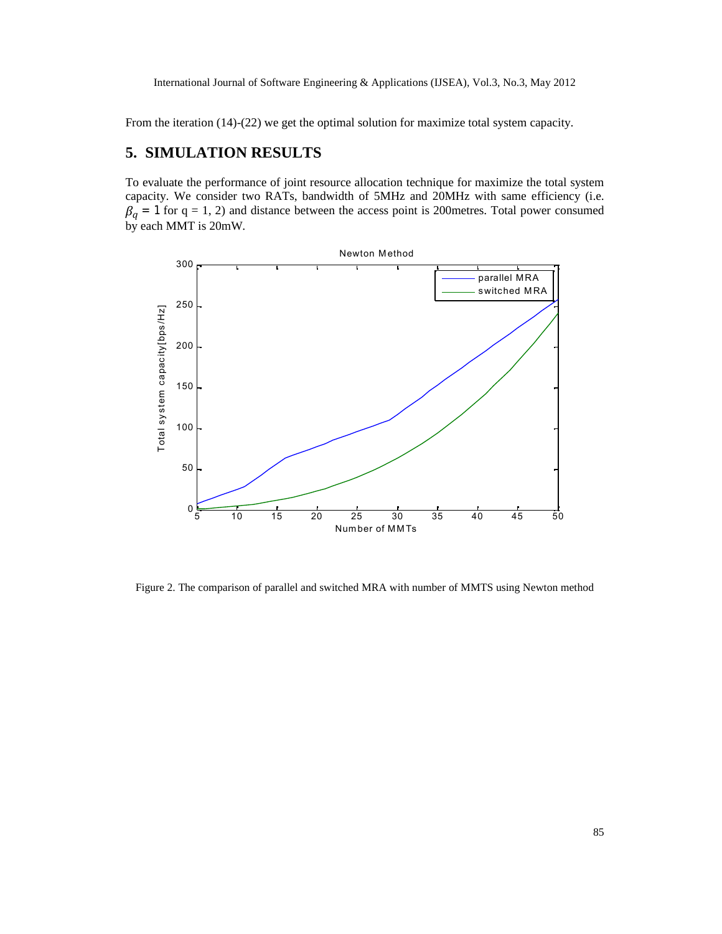From the iteration (14)-(22) we get the optimal solution for maximize total system capacity.

# **5. SIMULATION RESULTS**

To evaluate the performance of joint resource allocation technique for maximize the total system capacity. We consider two RATs, bandwidth of 5MHz and 20MHz with same efficiency (i.e.  $\beta_q = 1$  for  $q = 1, 2$ ) and distance between the access point is 200 metres. Total power consumed by each MMT is 20mW.



Figure 2. The comparison of parallel and switched MRA with number of MMTS using Newton method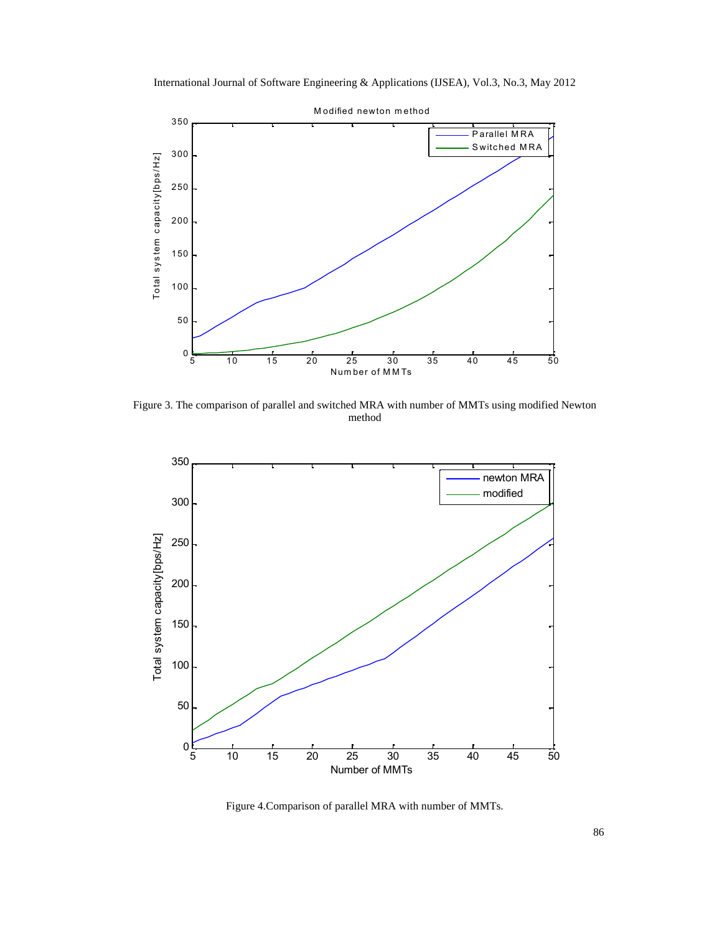International Journal of Software Engineering & Applications (IJSEA), Vol.3, No.3, May 2012



Figure 3. The comparison of parallel and switched MRA with number of MMTs using modified Newton method



Figure 4.Comparison of parallel MRA with number of MMTs.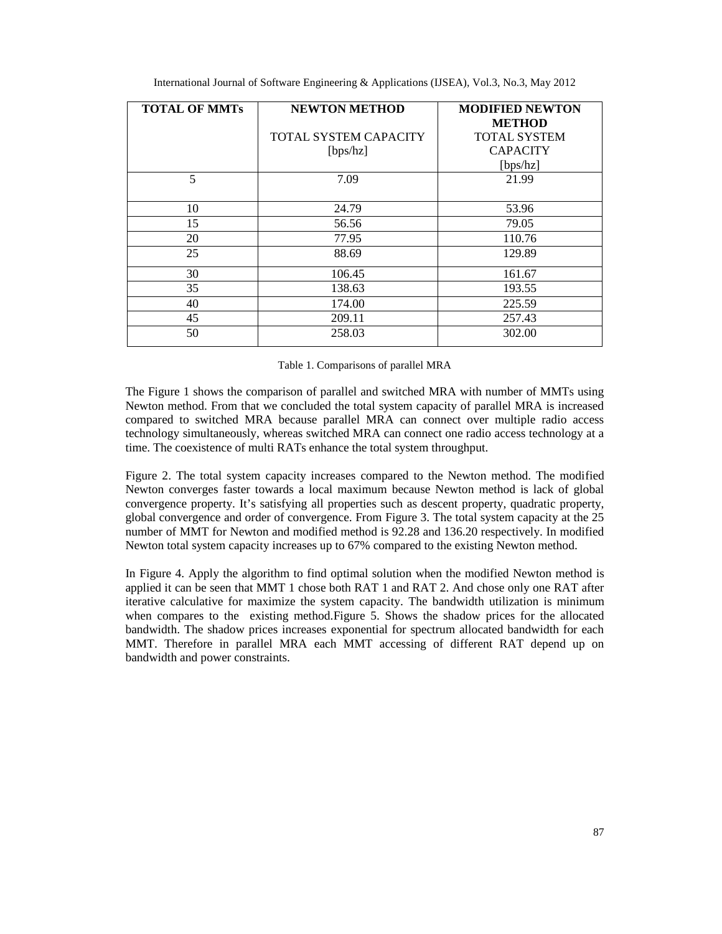| <b>TOTAL OF MMTs</b> | <b>NEWTON METHOD</b>  | <b>MODIFIED NEWTON</b> |
|----------------------|-----------------------|------------------------|
|                      |                       | <b>METHOD</b>          |
|                      | TOTAL SYSTEM CAPACITY | <b>TOTAL SYSTEM</b>    |
|                      | [bps/hz]              | <b>CAPACITY</b>        |
|                      |                       | [bps/hz]               |
| 5                    | 7.09                  | 21.99                  |
|                      |                       |                        |
| 10                   | 24.79                 | 53.96                  |
| 15                   | 56.56                 | 79.05                  |
| 20                   | 77.95                 | 110.76                 |
| 25                   | 88.69                 | 129.89                 |
| 30                   | 106.45                | 161.67                 |
| 35                   | 138.63                | 193.55                 |
| 40                   | 174.00                | 225.59                 |
| 45                   | 209.11                | 257.43                 |
| 50                   | 258.03                | 302.00                 |

|  |  | Table 1. Comparisons of parallel MRA |
|--|--|--------------------------------------|
|--|--|--------------------------------------|

The Figure 1 shows the comparison of parallel and switched MRA with number of MMTs using Newton method. From that we concluded the total system capacity of parallel MRA is increased compared to switched MRA because parallel MRA can connect over multiple radio access technology simultaneously, whereas switched MRA can connect one radio access technology at a time. The coexistence of multi RATs enhance the total system throughput.

Figure 2. The total system capacity increases compared to the Newton method. The modified Newton converges faster towards a local maximum because Newton method is lack of global convergence property. It's satisfying all properties such as descent property, quadratic property, global convergence and order of convergence. From Figure 3. The total system capacity at the 25 number of MMT for Newton and modified method is 92.28 and 136.20 respectively. In modified Newton total system capacity increases up to 67% compared to the existing Newton method.

In Figure 4. Apply the algorithm to find optimal solution when the modified Newton method is applied it can be seen that MMT 1 chose both RAT 1 and RAT 2. And chose only one RAT after iterative calculative for maximize the system capacity. The bandwidth utilization is minimum when compares to the existing method.Figure 5. Shows the shadow prices for the allocated bandwidth. The shadow prices increases exponential for spectrum allocated bandwidth for each MMT. Therefore in parallel MRA each MMT accessing of different RAT depend up on bandwidth and power constraints.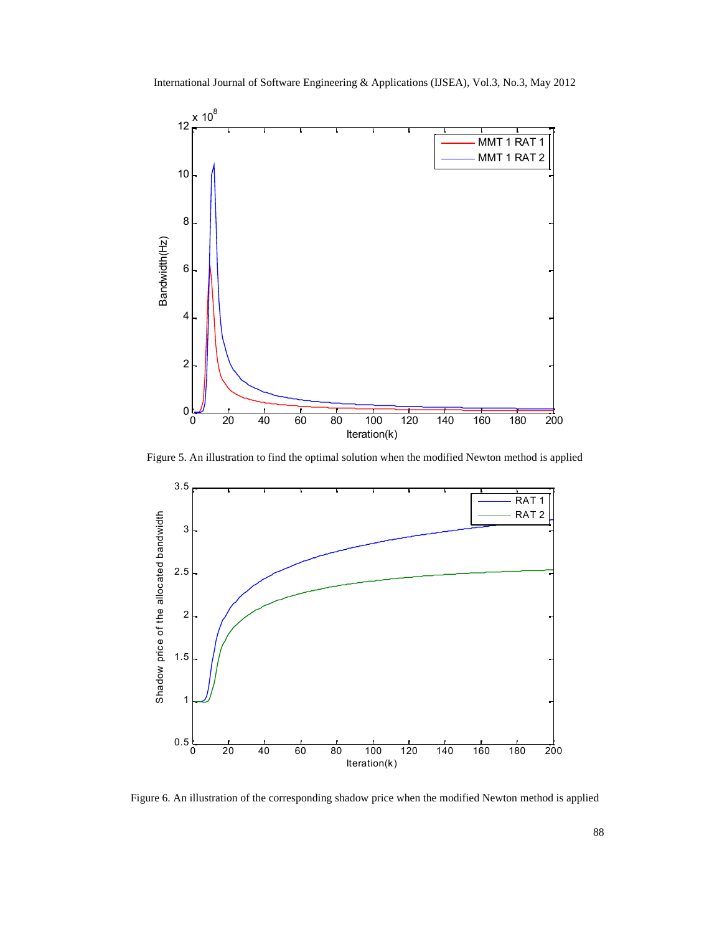

Figure 5. An illustration to find the optimal solution when the modified Newton method is applied



Figure 6. An illustration of the corresponding shadow price when the modified Newton method is applied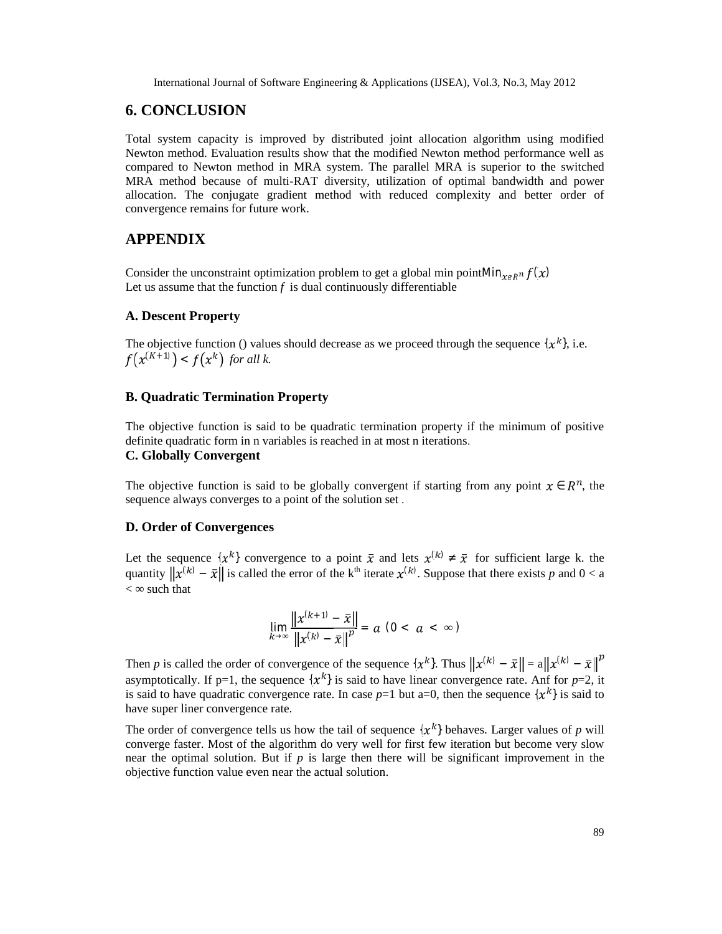### **6. CONCLUSION**

Total system capacity is improved by distributed joint allocation algorithm using modified Newton method. Evaluation results show that the modified Newton method performance well as compared to Newton method in MRA system. The parallel MRA is superior to the switched MRA method because of multi-RAT diversity, utilization of optimal bandwidth and power allocation. The conjugate gradient method with reduced complexity and better order of convergence remains for future work.

#### **APPENDIX**

Consider the unconstraint optimization problem to get a global min pointMin $_{xeR}$ <sup>n</sup>  $f(x)$ Let us assume that the function  $f$  is dual continuously differentiable

#### **A. Descent Property**

The objective function () values should decrease as we proceed through the sequence  $\{x^k\}$ , i.e.  $f(x^{(K+1)}) < f(x^k)$  for all k.

#### **B. Quadratic Termination Property**

The objective function is said to be quadratic termination property if the minimum of positive definite quadratic form in n variables is reached in at most n iterations.

#### **C. Globally Convergent**

The objective function is said to be globally convergent if starting from any point  $x \in \mathbb{R}^n$ , the sequence always converges to a point of the solution set .

#### **D. Order of Convergences**

Let the sequence  $\{x^k\}$  convergence to a point  $\bar{x}$  and lets  $x^{(k)}$   $\bar{x}$  for sufficient large k. the quantity  $||x^{(k)} - \bar{x}||$  is called the error of the k<sup>th</sup> iterate  $x^{(k)}$ . Suppose that there exists *p* and  $0 < a$ < such that

$$
\lim_{k} \frac{\|x^{(k+1)} - \bar{x}\|}{\|x^{(k)} - \bar{x}\|^{p}} = a \ (0 < a < \quad \text{)}
$$

Then *p* is called the order of convergence of the sequence  $\{x^k\}$ . Thus  $||x^{(k)} - \bar{x}|| = a||x^{(k)} - \bar{x}||^p$ asymptotically. If p=1, the sequence  $\{x^k\}$  is said to have linear convergence rate. Anf for p=2, it is said to have quadratic convergence rate. In case  $p=1$  but a=0, then the sequence  $\{x^k\}$  is said to have super liner convergence rate.

The order of convergence tells us how the tail of sequence  $\{x^k\}$  behaves. Larger values of *p* will converge faster. Most of the algorithm do very well for first few iteration but become very slow near the optimal solution. But if  $p$  is large then there will be significant improvement in the objective function value even near the actual solution.